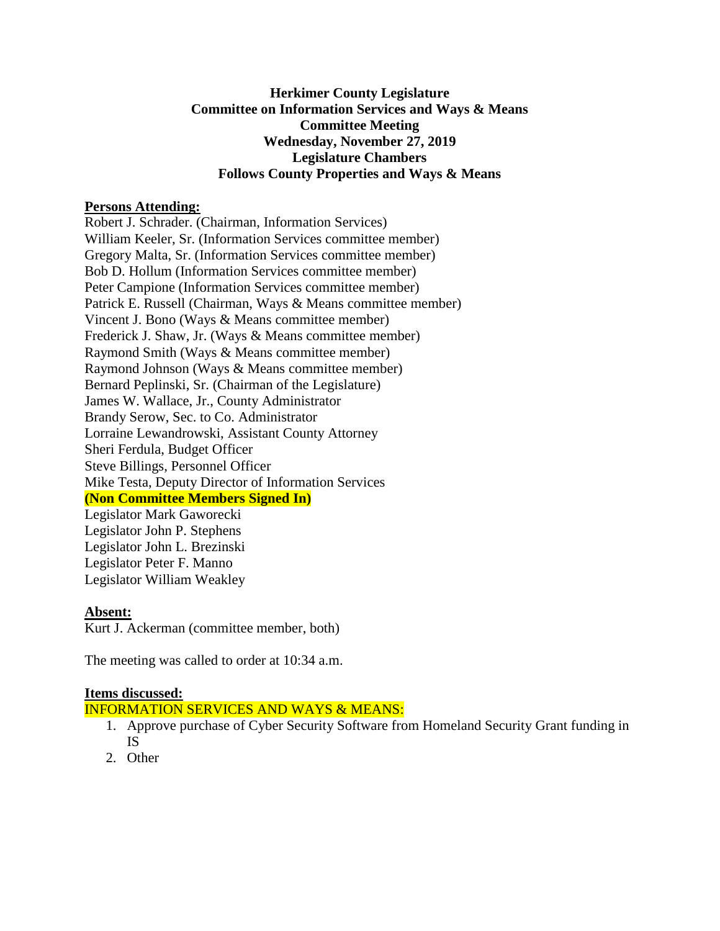#### **Herkimer County Legislature Committee on Information Services and Ways & Means Committee Meeting Wednesday, November 27, 2019 Legislature Chambers Follows County Properties and Ways & Means**

#### **Persons Attending:**

Robert J. Schrader. (Chairman, Information Services) William Keeler, Sr. (Information Services committee member) Gregory Malta, Sr. (Information Services committee member) Bob D. Hollum (Information Services committee member) Peter Campione (Information Services committee member) Patrick E. Russell (Chairman, Ways & Means committee member) Vincent J. Bono (Ways & Means committee member) Frederick J. Shaw, Jr. (Ways & Means committee member) Raymond Smith (Ways & Means committee member) Raymond Johnson (Ways & Means committee member) Bernard Peplinski, Sr. (Chairman of the Legislature) James W. Wallace, Jr., County Administrator Brandy Serow, Sec. to Co. Administrator Lorraine Lewandrowski, Assistant County Attorney Sheri Ferdula, Budget Officer Steve Billings, Personnel Officer Mike Testa, Deputy Director of Information Services **(Non Committee Members Signed In)** Legislator Mark Gaworecki

Legislator John P. Stephens Legislator John L. Brezinski Legislator Peter F. Manno Legislator William Weakley

#### **Absent:**

Kurt J. Ackerman (committee member, both)

The meeting was called to order at 10:34 a.m.

## **Items discussed:**

INFORMATION SERVICES AND WAYS & MEANS:

- 1. Approve purchase of Cyber Security Software from Homeland Security Grant funding in IS
- 2. Other